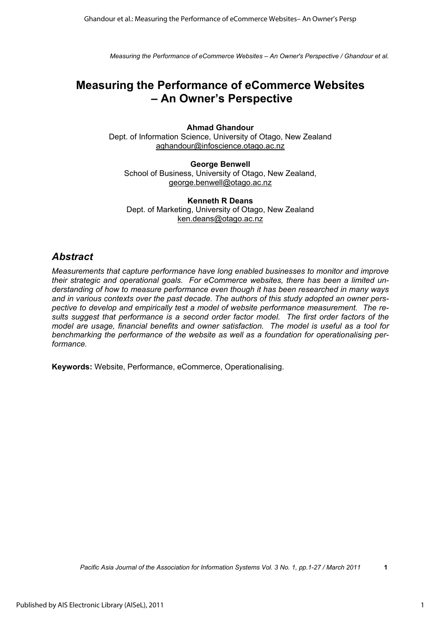# **Measuring the Performance of eCommerce Websites – An Owner's Perspective**

**Ahmad Ghandour**  Dept. of Information Science, University of Otago, New Zealand aghandour@infoscience.otago.ac.nz

**George Benwell**  School of Business, University of Otago, New Zealand, george.benwell@otago.ac.nz

**Kenneth R Deans**  Dept. of Marketing, University of Otago, New Zealand ken.deans@otago.ac.nz

## *Abstract*

*Measurements that capture performance have long enabled businesses to monitor and improve their strategic and operational goals. For eCommerce websites, there has been a limited understanding of how to measure performance even though it has been researched in many ways and in various contexts over the past decade. The authors of this study adopted an owner perspective to develop and empirically test a model of website performance measurement. The results suggest that performance is a second order factor model. The first order factors of the model are usage, financial benefits and owner satisfaction. The model is useful as a tool for benchmarking the performance of the website as well as a foundation for operationalising performance.* 

**Keywords:** Website, Performance, eCommerce, Operationalising.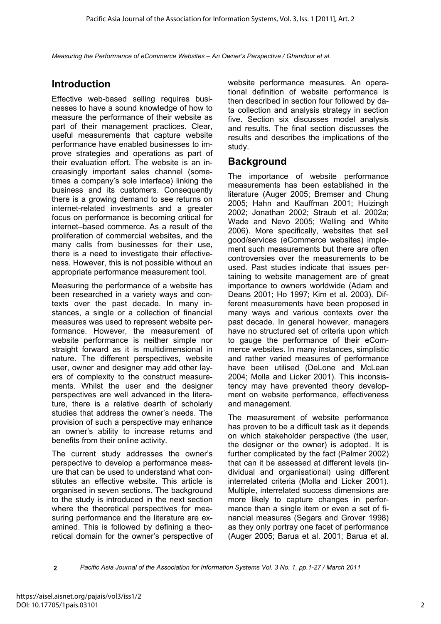# **Introduction**

Effective web-based selling requires businesses to have a sound knowledge of how to measure the performance of their website as part of their management practices. Clear, useful measurements that capture website performance have enabled businesses to improve strategies and operations as part of their evaluation effort. The website is an increasingly important sales channel (sometimes a company's sole interface) linking the business and its customers. Consequently there is a growing demand to see returns on internet-related investments and a greater focus on performance is becoming critical for internet–based commerce. As a result of the proliferation of commercial websites, and the many calls from businesses for their use, there is a need to investigate their effectiveness. However, this is not possible without an appropriate performance measurement tool.

Measuring the performance of a website has been researched in a variety ways and contexts over the past decade. In many instances, a single or a collection of financial measures was used to represent website performance. However, the measurement of website performance is neither simple nor straight forward as it is multidimensional in nature. The different perspectives, website user, owner and designer may add other layers of complexity to the construct measurements. Whilst the user and the designer perspectives are well advanced in the literature, there is a relative dearth of scholarly studies that address the owner's needs. The provision of such a perspective may enhance an owner's ability to increase returns and benefits from their online activity.

The current study addresses the owner's perspective to develop a performance measure that can be used to understand what constitutes an effective website. This article is organised in seven sections. The background to the study is introduced in the next section where the theoretical perspectives for measuring performance and the literature are examined. This is followed by defining a theoretical domain for the owner's perspective of website performance measures. An operational definition of website performance is then described in section four followed by data collection and analysis strategy in section five. Section six discusses model analysis and results. The final section discusses the results and describes the implications of the study.

## **Background**

The importance of website performance measurements has been established in the literature (Auger 2005; Bremser and Chung 2005; Hahn and Kauffman 2001; Huizingh 2002; Jonathan 2002; Straub et al. 2002a; Wade and Nevo 2005; Welling and White 2006). More specifically, websites that sell good/services (eCommerce websites) implement such measurements but there are often controversies over the measurements to be used. Past studies indicate that issues pertaining to website management are of great importance to owners worldwide (Adam and Deans 2001; Ho 1997; Kim et al. 2003). Different measurements have been proposed in many ways and various contexts over the past decade. In general however, managers have no structured set of criteria upon which to gauge the performance of their eCommerce websites. In many instances, simplistic and rather varied measures of performance have been utilised (DeLone and McLean 2004; Molla and Licker 2001). This inconsistency may have prevented theory development on website performance, effectiveness and management.

The measurement of website performance has proven to be a difficult task as it depends on which stakeholder perspective (the user, the designer or the owner) is adopted. It is further complicated by the fact (Palmer 2002) that can it be assessed at different levels (individual and organisational) using different interrelated criteria (Molla and Licker 2001). Multiple, interrelated success dimensions are more likely to capture changes in performance than a single item or even a set of financial measures (Segars and Grover 1998) as they only portray one facet of performance (Auger 2005; Barua et al. 2001; Barua et al.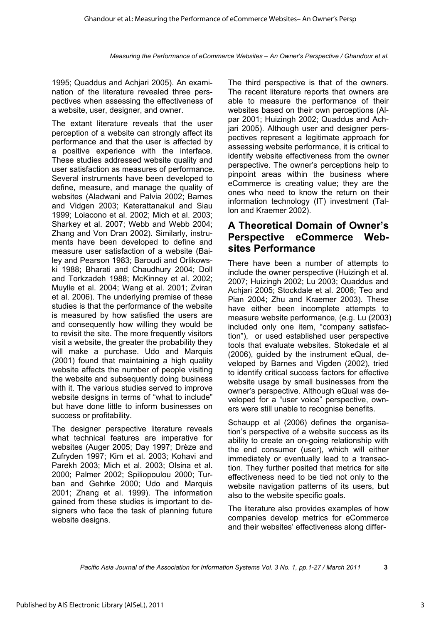1995; Quaddus and Achjari 2005). An examination of the literature revealed three perspectives when assessing the effectiveness of a website, user, designer, and owner.

The extant literature reveals that the user perception of a website can strongly affect its performance and that the user is affected by a positive experience with the interface. These studies addressed website quality and user satisfaction as measures of performance. Several instruments have been developed to define, measure, and manage the quality of websites (Aladwani and Palvia 2002; Barnes and Vidgen 2003; Katerattanakul and Siau 1999; Loiacono et al. 2002; Mich et al. 2003; Sharkey et al. 2007; Webb and Webb 2004; Zhang and Von Dran 2002). Similarly, instruments have been developed to define and measure user satisfaction of a website (Bailey and Pearson 1983; Baroudi and Orlikowski 1988; Bharati and Chaudhury 2004; Doll and Torkzadeh 1988; McKinney et al. 2002; Muylle et al. 2004; Wang et al. 2001; Zviran et al. 2006). The underlying premise of these studies is that the performance of the website is measured by how satisfied the users are and consequently how willing they would be to revisit the site. The more frequently visitors visit a website, the greater the probability they will make a purchase. Udo and Marquis (2001) found that maintaining a high quality website affects the number of people visiting the website and subsequently doing business with it. The various studies served to improve website designs in terms of "what to include" but have done little to inform businesses on success or profitability.

The designer perspective literature reveals what technical features are imperative for websites (Auger 2005; Day 1997; Drèze and Zufryden 1997; Kim et al. 2003; Kohavi and Parekh 2003; Mich et al. 2003; Olsina et al. 2000; Palmer 2002; Spiliopoulou 2000; Turban and Gehrke 2000; Udo and Marquis 2001; Zhang et al. 1999). The information gained from these studies is important to designers who face the task of planning future website designs.

The third perspective is that of the owners. The recent literature reports that owners are able to measure the performance of their websites based on their own perceptions (Alpar 2001; Huizingh 2002; Quaddus and Achjari 2005). Although user and designer perspectives represent a legitimate approach for assessing website performance, it is critical to identify website effectiveness from the owner perspective. The owner's perceptions help to pinpoint areas within the business where eCommerce is creating value; they are the ones who need to know the return on their information technology (IT) investment (Tallon and Kraemer 2002).

# **A Theoretical Domain of Owner's Perspective eCommerce Websites Performance**

There have been a number of attempts to include the owner perspective (Huizingh et al. 2007; Huizingh 2002; Lu 2003; Quaddus and Achjari 2005; Stockdale et al. 2006; Teo and Pian 2004; Zhu and Kraemer 2003). These have either been incomplete attempts to measure website performance, (e.g. Lu (2003) included only one item, "company satisfaction"), or used established user perspective tools that evaluate websites. Stokedale et al (2006), guided by the instrument eQual, developed by Barnes and Vigden (2002), tried to identify critical success factors for effective website usage by small businesses from the owner's perspective. Although eQual was developed for a "user voice" perspective, owners were still unable to recognise benefits.

Schaupp et al (2006) defines the organisation's perspective of a website success as its ability to create an on-going relationship with the end consumer (user), which will either immediately or eventually lead to a transaction. They further posited that metrics for site effectiveness need to be tied not only to the website navigation patterns of its users, but also to the website specific goals.

The literature also provides examples of how companies develop metrics for eCommerce and their websites' effectiveness along differ-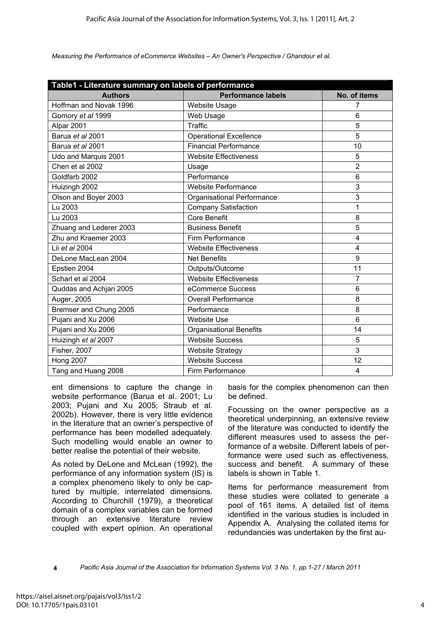| Table1 - Literature summary on labels of performance |                                |                |  |  |
|------------------------------------------------------|--------------------------------|----------------|--|--|
| <b>Authors</b>                                       | <b>Performance labels</b>      | No. of items   |  |  |
| Hoffman and Novak 1996                               | <b>Website Usage</b>           | 7              |  |  |
| Gomory et al 1999                                    | Web Usage                      | 6              |  |  |
| Alpar 2001                                           | Traffic                        | 5              |  |  |
| Barua et al 2001                                     | <b>Operational Excellence</b>  | 5              |  |  |
| Barua et al 2001                                     | <b>Financial Performance</b>   | 10             |  |  |
| Udo and Marquis 2001                                 | <b>Website Effectiveness</b>   | 5              |  |  |
| Chen et al 2002                                      | Usage                          | $\overline{2}$ |  |  |
| Goldfarb 2002                                        | Performance                    | 6              |  |  |
| Huizingh 2002                                        | <b>Website Performance</b>     | 3              |  |  |
| Olson and Boyer 2003                                 | Organisational Performance     | 3              |  |  |
| Lu 2003                                              | <b>Company Satisfaction</b>    | 1              |  |  |
| Lu 2003                                              | <b>Core Benefit</b>            | 8              |  |  |
| Zhuang and Lederer 2003                              | <b>Business Benefit</b>        | 5              |  |  |
| Zhu and Kraemer 2003                                 | Firm Performance               | 4              |  |  |
| Lii et al 2004                                       | <b>Website Effectiveness</b>   | 4              |  |  |
| DeLone MacLean 2004                                  | <b>Net Benefits</b>            | 9              |  |  |
| Epstien 2004                                         | Outputs/Outcome                | 11             |  |  |
| Scharl et al 2004                                    | <b>Website Effectiveness</b>   | 7              |  |  |
| Quddas and Achjari 2005                              | eCommerce Success              | 6              |  |  |
| Auger, 2005                                          | <b>Overall Performance</b>     | 8              |  |  |
| Bremser and Chung 2005                               | Performance                    | 8              |  |  |
| Pujani and Xu 2006                                   | <b>Website Use</b>             | 6              |  |  |
| Pujani and Xu 2006                                   | <b>Organisational Benefits</b> | 14             |  |  |
| Huizingh et al 2007                                  | <b>Website Success</b>         | 5              |  |  |
| <b>Fisher, 2007</b>                                  | <b>Website Strategy</b>        | 3              |  |  |
| <b>Hong 2007</b>                                     | <b>Website Success</b>         | 12             |  |  |
| Tang and Huang 2008                                  | Firm Performance               | 4              |  |  |

ent dimensions to capture the change in website performance (Barua et al. 2001; Lu 2003; Pujani and Xu 2005; Straub et al. 2002b). However, there is very little evidence in the literature that an owner's perspective of performance has been modelled adequately. Such modelling would enable an owner to better realise the potential of their website.

As noted by DeLone and McLean (1992), the performance of any information system (IS) is a complex phenomeno likely to only be captured by multiple, interrelated dimensions. According to Churchill (1979), a theoretical domain of a complex variables can be formed through an extensive literature review coupled with expert opinion. An operational basis for the complex phenomenon can then be defined.

Focussing on the owner perspective as a theoretical underpinning, an extensive review of the literature was conducted to identify the different measures used to assess the performance of a website. Different labels of performance were used such as effectiveness, success and benefit. A summary of these labels is shown in Table 1.

Items for performance measurement from these studies were collated to generate a pool of 161 items. A detailed list of items identified in the various studies is included in Appendix A. Analysing the collated items for redundancies was undertaken by the first au-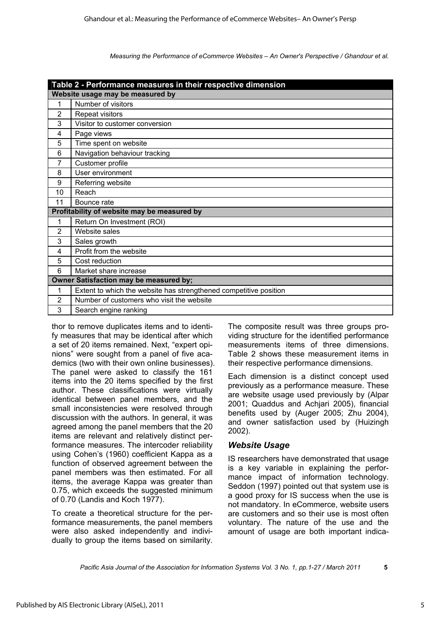|                | Table 2 - Performance measures in their respective dimension      |
|----------------|-------------------------------------------------------------------|
|                | Website usage may be measured by                                  |
| 1              | Number of visitors                                                |
| $\overline{2}$ | Repeat visitors                                                   |
| 3              | Visitor to customer conversion                                    |
| 4              | Page views                                                        |
| 5              | Time spent on website                                             |
| 6              | Navigation behaviour tracking                                     |
| $\overline{7}$ | Customer profile                                                  |
| 8              | User environment                                                  |
| 9              | Referring website                                                 |
| 10             | Reach                                                             |
| 11             | Bounce rate                                                       |
|                | Profitability of website may be measured by                       |
| 1              | Return On Investment (ROI)                                        |
| 2              | Website sales                                                     |
| 3              | Sales growth                                                      |
| 4              | Profit from the website                                           |
| 5              | Cost reduction                                                    |
| 6              | Market share increase                                             |
|                | Owner Satisfaction may be measured by;                            |
| 1              | Extent to which the website has strengthened competitive position |
| $\overline{2}$ | Number of customers who visit the website                         |
| 3              | Search engine ranking                                             |

thor to remove duplicates items and to identify measures that may be identical after which a set of 20 items remained. Next, "expert opinions" were sought from a panel of five academics (two with their own online businesses). The panel were asked to classify the 161 items into the 20 items specified by the first author. These classifications were virtually identical between panel members, and the small inconsistencies were resolved through discussion with the authors. In general, it was agreed among the panel members that the 20 items are relevant and relatively distinct performance measures. The intercoder reliability using Cohen's (1960) coefficient Kappa as a function of observed agreement between the panel members was then estimated. For all items, the average Kappa was greater than 0.75, which exceeds the suggested minimum of 0.70 (Landis and Koch 1977).

To create a theoretical structure for the performance measurements, the panel members were also asked independently and individually to group the items based on similarity.

The composite result was three groups providing structure for the identified performance measurements items of three dimensions. Table 2 shows these measurement items in their respective performance dimensions.

Each dimension is a distinct concept used previously as a performance measure. These are website usage used previously by (Alpar 2001; Quaddus and Achjari 2005), financial benefits used by (Auger 2005; Zhu 2004), and owner satisfaction used by (Huizingh 2002).

## *Website Usage*

IS researchers have demonstrated that usage is a key variable in explaining the performance impact of information technology. Seddon (1997) pointed out that system use is a good proxy for IS success when the use is not mandatory. In eCommerce, website users are customers and so their use is most often voluntary. The nature of the use and the amount of usage are both important indica-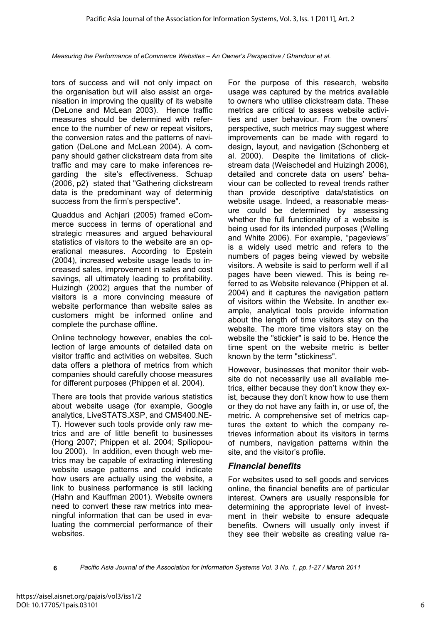tors of success and will not only impact on the organisation but will also assist an organisation in improving the quality of its website (DeLone and McLean 2003). Hence traffic measures should be determined with reference to the number of new or repeat visitors, the conversion rates and the patterns of navigation (DeLone and McLean 2004). A company should gather clickstream data from site traffic and may care to make inferences regarding the site's effectiveness. Schuap (2006, p2) stated that "Gathering clickstream data is the predominant way of determinig success from the firm's perspective".

Quaddus and Achjari (2005) framed eCommerce success in terms of operational and strategic measures and argued behavioural statistics of visitors to the website are an operational measures. According to Epstein (2004), increased website usage leads to increased sales, improvement in sales and cost savings, all ultimately leading to profitability. Huizingh (2002) argues that the number of visitors is a more convincing measure of website performance than website sales as customers might be informed online and complete the purchase offline.

Online technology however, enables the collection of large amounts of detailed data on visitor traffic and activities on websites. Such data offers a plethora of metrics from which companies should carefully choose measures for different purposes (Phippen et al. 2004).

There are tools that provide various statistics about website usage (for example, Google analytics, LiveSTATS.XSP, and CMS400.NE-T). However such tools provide only raw metrics and are of little benefit to businesses (Hong 2007; Phippen et al. 2004; Spiliopoulou 2000). In addition, even though web metrics may be capable of extracting interesting website usage patterns and could indicate how users are actually using the website, a link to business performance is still lacking (Hahn and Kauffman 2001). Website owners need to convert these raw metrics into meaningful information that can be used in evaluating the commercial performance of their websites.

For the purpose of this research, website usage was captured by the metrics available to owners who utilise clickstream data. These metrics are critical to assess website activities and user behaviour. From the owners' perspective, such metrics may suggest where improvements can be made with regard to design, layout, and navigation (Schonberg et al. 2000). Despite the limitations of clickstream data (Weischedel and Huizingh 2006), detailed and concrete data on users' behaviour can be collected to reveal trends rather than provide descriptive data/statistics on website usage. Indeed, a reasonable measure could be determined by assessing whether the full functionality of a website is being used for its intended purposes (Welling and White 2006). For example, "pageviews" is a widely used metric and refers to the numbers of pages being viewed by website visitors. A website is said to perform well if all pages have been viewed. This is being referred to as Website relevance (Phippen et al. 2004) and it captures the navigation pattern of visitors within the Website. In another example, analytical tools provide information about the length of time visitors stay on the website. The more time visitors stay on the website the "stickier" is said to be. Hence the time spent on the website metric is better known by the term "stickiness".

However, businesses that monitor their website do not necessarily use all available metrics, either because they don't know they exist, because they don't know how to use them or they do not have any faith in, or use of, the metric. A comprehensive set of metrics captures the extent to which the company retrieves information about its visitors in terms of numbers, navigation patterns within the site, and the visitor's profile.

## *Financial benefits*

For websites used to sell goods and services online, the financial benefits are of particular interest. Owners are usually responsible for determining the appropriate level of investment in their website to ensure adequate benefits. Owners will usually only invest if they see their website as creating value ra-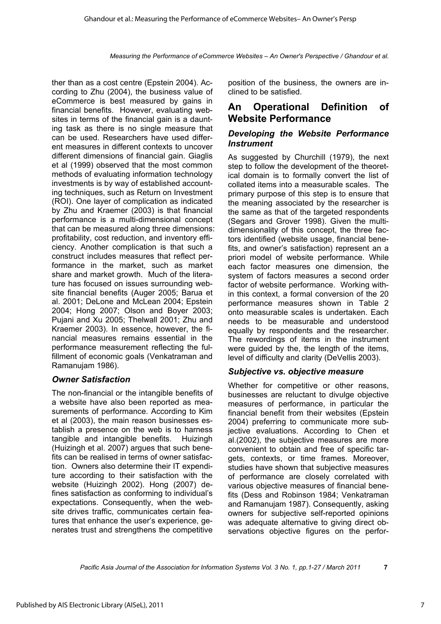ther than as a cost centre (Epstein 2004). According to Zhu (2004), the business value of eCommerce is best measured by gains in financial benefits. However, evaluating websites in terms of the financial gain is a daunting task as there is no single measure that can be used. Researchers have used different measures in different contexts to uncover different dimensions of financial gain. Giaglis et al (1999) observed that the most common methods of evaluating information technology investments is by way of established accounting techniques, such as Return on Investment (ROI). One layer of complication as indicated by Zhu and Kraemer (2003) is that financial performance is a multi-dimensional concept that can be measured along three dimensions: profitability, cost reduction, and inventory efficiency. Another complication is that such a construct includes measures that reflect performance in the market, such as market share and market growth. Much of the literature has focused on issues surrounding website financial benefits (Auger 2005; Barua et al. 2001; DeLone and McLean 2004; Epstein 2004; Hong 2007; Olson and Boyer 2003; Pujani and Xu 2005; Thelwall 2001; Zhu and Kraemer 2003). In essence, however, the financial measures remains essential in the performance measurement reflecting the fulfillment of economic goals (Venkatraman and Ramanujam 1986).

## *Owner Satisfaction*

The non-financial or the intangible benefits of a website have also been reported as measurements of performance. According to Kim et al (2003), the main reason businesses establish a presence on the web is to harness tangible and intangible benefits. Huizingh (Huizingh et al. 2007) argues that such benefits can be realised in terms of owner satisfaction. Owners also determine their IT expenditure according to their satisfaction with the website (Huizingh 2002). Hong (2007) defines satisfaction as conforming to individual's expectations. Consequently, when the website drives traffic, communicates certain features that enhance the user's experience, generates trust and strengthens the competitive

position of the business, the owners are inclined to be satisfied.

## **An Operational Definition of Website Performance**

## *Developing the Website Performance Instrument*

As suggested by Churchill (1979), the next step to follow the development of the theoretical domain is to formally convert the list of collated items into a measurable scales. The primary purpose of this step is to ensure that the meaning associated by the researcher is the same as that of the targeted respondents (Segars and Grover 1998). Given the multidimensionality of this concept, the three factors identified (website usage, financial benefits, and owner's satisfaction) represent an a priori model of website performance. While each factor measures one dimension, the system of factors measures a second order factor of website performance. Working within this context, a formal conversion of the 20 performance measures shown in Table 2 onto measurable scales is undertaken. Each needs to be measurable and understood equally by respondents and the researcher. The rewordings of items in the instrument were guided by the, the length of the items, level of difficulty and clarity (DeVellis 2003).

## *Subjective vs. objective measure*

Whether for competitive or other reasons, businesses are reluctant to divulge objective measures of performance, in particular the financial benefit from their websites (Epstein 2004) preferring to communicate more subjective evaluations. According to Chen et al.(2002), the subjective measures are more convenient to obtain and free of specific targets, contexts, or time frames. Moreover, studies have shown that subjective measures of performance are closely correlated with various objective measures of financial benefits (Dess and Robinson 1984; Venkatraman and Ramanujam 1987). Consequently, asking owners for subjective self-reported opinions was adequate alternative to giving direct observations objective figures on the perfor-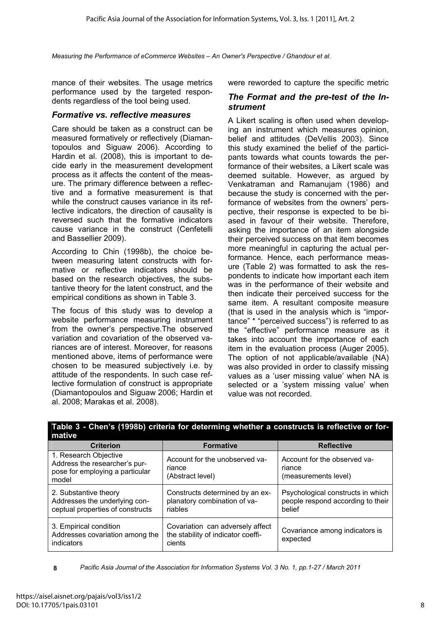mance of their websites. The usage metrics were reworded to capture the specific metric performance used by the targeted respondents regardless of the tool being used.

### *Formative vs. reflective measures*

Care should be taken as a construct can be measured formatively or reflectively (Diamantopoulos and Siguaw 2006). According to Hardin et al. (2008), this is important to decide early in the measurement development process as it affects the content of the measure. The primary difference between a reflective and a formative measurement is that while the construct causes variance in its reflective indicators, the direction of causality is reversed such that the formative indicators cause variance in the construct (Cenfetelli and Bassellier 2009).

According to Chin (1998b), the choice between measuring latent constructs with formative or reflective indicators should be based on the research objectives, the substantive theory for the latent construct, and the empirical conditions as shown in Table 3.

The focus of this study was to develop a website performance measuring instrument from the owner's perspective.The observed variation and covariation of the observed variances are of interest. Moreover, for reasons mentioned above, items of performance were chosen to be measured subjectively i.e. by attitude of the respondents. In such case reflective formulation of construct is appropriate (Diamantopoulos and Siguaw 2006; Hardin et al. 2008; Marakas et al. 2008).

### *The Format and the pre-test of the Instrument*

A Likert scaling is often used when developing an instrument which measures opinion, belief and attitudes (DeVellis 2003). Since this study examined the belief of the participants towards what counts towards the performance of their websites, a Likert scale was deemed suitable. However, as argued by Venkatraman and Ramanujam (1986) and because the study is concerned with the performance of websites from the owners' perspective, their response is expected to be biased in favour of their website. Therefore, asking the importance of an item alongside their perceived success on that item becomes more meaningful in capturing the actual performance. Hence, each performance measure (Table 2) was formatted to ask the respondents to indicate how important each item was in the performance of their website and then indicate their perceived success for the same item. A resultant composite measure (that is used in the analysis which is "importance" \* "perceived success") is referred to as the "effective" performance measure as it takes into account the importance of each item in the evaluation process (Auger 2005). The option of not applicable/available (NA) was also provided in order to classify missing values as a 'user missing value' when NA is selected or a 'system missing value' when value was not recorded.

| mative                                                                                             |                                                                                  |                                                                                  |
|----------------------------------------------------------------------------------------------------|----------------------------------------------------------------------------------|----------------------------------------------------------------------------------|
| <b>Criterion</b>                                                                                   | <b>Formative</b>                                                                 | <b>Reflective</b>                                                                |
| 1. Research Objective<br>Address the researcher's pur-<br>pose for employing a particular<br>model | Account for the unobserved va-<br>riance<br>(Abstract level)                     | Account for the observed va-<br>riance<br>(measurements level)                   |
| 2. Substantive theory<br>Addresses the underlying con-<br>ceptual properties of constructs         | Constructs determined by an ex-<br>planatory combination of va-<br>riables       | Psychological constructs in which<br>people respond according to their<br>belief |
| 3. Empirical condition<br>Addresses covariation among the<br>indicators                            | Covariation can adversely affect<br>the stability of indicator coeffi-<br>cients | Covariance among indicators is<br>expected                                       |

**Table 3 - Chen's (1998b) criteria for determing whether a constructs is reflective or for-**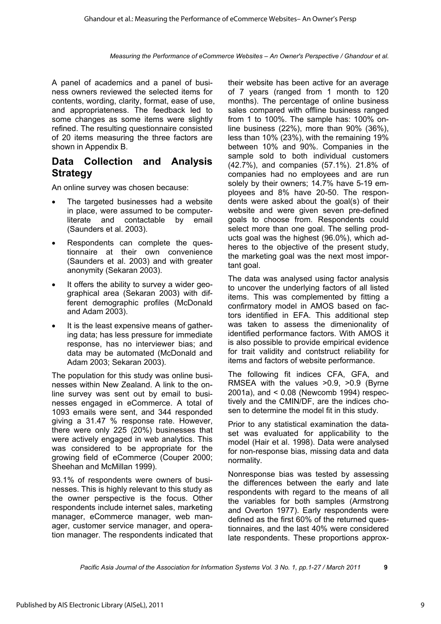A panel of academics and a panel of business owners reviewed the selected items for contents, wording, clarity, format, ease of use, and appropriateness. The feedback led to some changes as some items were slightly refined. The resulting questionnaire consisted of 20 items measuring the three factors are shown in Appendix B.

# **Data Collection and Analysis Strategy**

An online survey was chosen because:

- The targeted businesses had a website in place, were assumed to be computerliterate and contactable by email (Saunders et al. 2003).
- Respondents can complete the questionnaire at their own convenience (Saunders et al. 2003) and with greater anonymity (Sekaran 2003).
- It offers the ability to survey a wider geographical area (Sekaran 2003) with different demographic profiles (McDonald and Adam 2003).
- It is the least expensive means of gathering data; has less pressure for immediate response, has no interviewer bias; and data may be automated (McDonald and Adam 2003; Sekaran 2003).

The population for this study was online businesses within New Zealand. A link to the online survey was sent out by email to businesses engaged in eCommerce. A total of 1093 emails were sent, and 344 responded giving a 31.47 % response rate. However, there were only 225 (20%) businesses that were actively engaged in web analytics. This was considered to be appropriate for the growing field of eCommerce (Couper 2000; Sheehan and McMillan 1999).

93.1% of respondents were owners of businesses. This is highly relevant to this study as the owner perspective is the focus. Other respondents include internet sales, marketing manager, eCommerce manager, web manager, customer service manager, and operation manager. The respondents indicated that their website has been active for an average of 7 years (ranged from 1 month to 120 months). The percentage of online business sales compared with offline business ranged from 1 to 100%. The sample has: 100% online business (22%), more than 90% (36%), less than 10% (23%), with the remaining 19% between 10% and 90%. Companies in the sample sold to both individual customers (42.7%), and companies (57.1%). 21.8% of companies had no employees and are run solely by their owners; 14.7% have 5-19 employees and 8% have 20-50. The respondents were asked about the goal(s) of their website and were given seven pre-defined goals to choose from. Respondents could select more than one goal. The selling products goal was the highest (96.0%), which adheres to the objective of the present study, the marketing goal was the next most important goal.

The data was analysed using factor analysis to uncover the underlying factors of all listed items. This was complemented by fitting a confirmatory model in AMOS based on factors identified in EFA. This additional step was taken to assess the dimenionality of identified performance factors. With AMOS it is also possible to provide empirical evidence for trait validity and contstruct reliability for items and factors of website performance.

The following fit indices CFA, GFA, and RMSEA with the values >0.9, >0.9 (Byrne 2001a), and < 0.08 (Newcomb 1994) respectively and the CMIN/DF, are the indices chosen to determine the model fit in this study.

Prior to any statistical examination the dataset was evaluated for applicability to the model (Hair et al. 1998). Data were analysed for non-response bias, missing data and data normality.

Nonresponse bias was tested by assessing the differences between the early and late respondents with regard to the means of all the variables for both samples (Armstrong and Overton 1977). Early respondents were defined as the first 60% of the returned questionnaires, and the last 40% were considered late respondents. These proportions approx-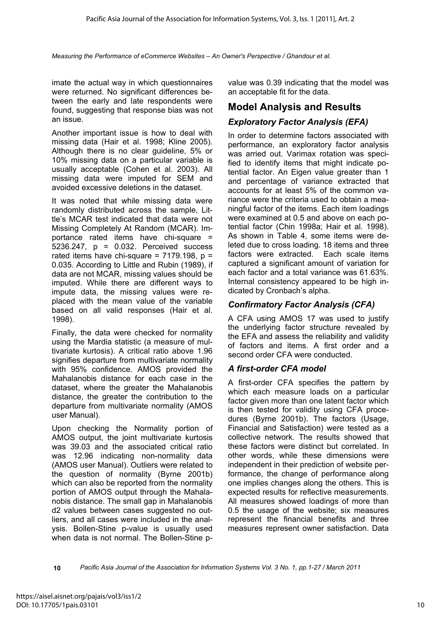imate the actual way in which questionnaires were returned. No significant differences between the early and late respondents were found, suggesting that response bias was not an issue.

Another important issue is how to deal with missing data (Hair et al. 1998; Kline 2005). Although there is no clear guideline, 5% or 10% missing data on a particular variable is usually acceptable (Cohen et al. 2003). All missing data were imputed for SEM and avoided excessive deletions in the dataset.

It was noted that while missing data were randomly distributed across the sample, Little's MCAR test indicated that data were not Missing Completely At Random (MCAR). Importance rated items have chi-square = 5236.247, p = 0.032. Perceived success rated items have chi-square =  $7179.198$ ,  $p =$ 0.035. According to Little and Rubin (1989), if data are not MCAR, missing values should be imputed. While there are different ways to impute data, the missing values were replaced with the mean value of the variable based on all valid responses (Hair et al. 1998).

Finally, the data were checked for normality using the Mardia statistic (a measure of multivariate kurtosis). A critical ratio above 1.96 signifies departure from multivariate normality with 95% confidence. AMOS provided the Mahalanobis distance for each case in the dataset, where the greater the Mahalanobis distance, the greater the contribution to the departure from multivariate normality (AMOS user Manual).

Upon checking the Normality portion of AMOS output, the joint multivariate kurtosis was 39.03 and the associated critical ratio was 12.96 indicating non-normality data (AMOS user Manual). Outliers were related to the question of normality (Byrne 2001b) which can also be reported from the normality portion of AMOS output through the Mahalanobis distance. The small gap in Mahalanobis d2 values between cases suggested no outliers, and all cases were included in the analysis. Bollen-Stine p-value is usually used when data is not normal. The Bollen-Stine pvalue was 0.39 indicating that the model was an acceptable fit for the data.

# **Model Analysis and Results**

## *Exploratory Factor Analysis (EFA)*

In order to determine factors associated with performance, an exploratory factor analysis was arried out. Varimax rotation was specified to identify items that might indicate potential factor. An Eigen value greater than 1 and percentage of variance extracted that accounts for at least 5% of the common variance were the criteria used to obtain a meaningful factor of the items. Each item loadings were examined at 0.5 and above on each potential factor (Chin 1998a; Hair et al. 1998). As shown in Table 4, some items were deleted due to cross loading. 18 items and three factors were extracted. Each scale items captured a significant amount of variation for each factor and a total variance was 61.63%. Internal consistency appeared to be high indicated by Cronbach's alpha.

## *Confirmatory Factor Analysis (CFA)*

A CFA using AMOS 17 was used to justify the underlying factor structure revealed by the EFA and assess the reliability and validity of factors and items. A first order and a second order CFA were conducted.

## *A first-order CFA model*

A first-order CFA specifies the pattern by which each measure loads on a particular factor given more than one latent factor which is then tested for validity using CFA procedures (Byrne 2001b). The factors (Usage, Financial and Satisfaction) were tested as a collective network. The results showed that these factors were distinct but correlated. In other words, while these dimensions were independent in their prediction of website performance, the change of performance along one implies changes along the others. This is expected results for reflective measurements. All measures showed loadings of more than 0.5 the usage of the website; six measures represent the financial benefits and three measures represent owner satisfaction. Data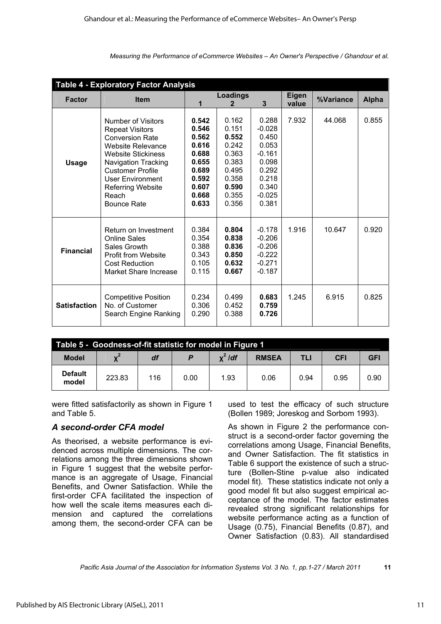| <b>Table 4 - Exploratory Factor Analysis</b> |                                                                                                                                                                                                                                                                  |                                                                                                 |                                                                                                 |                                                                                                          |       |           |              |
|----------------------------------------------|------------------------------------------------------------------------------------------------------------------------------------------------------------------------------------------------------------------------------------------------------------------|-------------------------------------------------------------------------------------------------|-------------------------------------------------------------------------------------------------|----------------------------------------------------------------------------------------------------------|-------|-----------|--------------|
| <b>Factor</b>                                | <b>Item</b>                                                                                                                                                                                                                                                      |                                                                                                 | <b>Loadings</b>                                                                                 |                                                                                                          |       | %Variance | <b>Alpha</b> |
|                                              |                                                                                                                                                                                                                                                                  |                                                                                                 | 2                                                                                               | 3                                                                                                        | value |           |              |
| <b>Usage</b>                                 | Number of Visitors<br><b>Repeat Visitors</b><br><b>Conversion Rate</b><br>Website Relevance<br><b>Website Stickiness</b><br><b>Navigation Tracking</b><br><b>Customer Profile</b><br>User Environment<br><b>Referring Website</b><br>Reach<br><b>Bounce Rate</b> | 0.542<br>0.546<br>0.562<br>0.616<br>0.688<br>0.655<br>0.689<br>0.592<br>0.607<br>0.668<br>0.633 | 0.162<br>0.151<br>0.552<br>0.242<br>0.363<br>0.383<br>0.495<br>0.358<br>0.590<br>0.355<br>0.356 | 0.288<br>$-0.028$<br>0.450<br>0.053<br>$-0.161$<br>0.098<br>0.292<br>0.218<br>0.340<br>$-0.025$<br>0.381 | 7.932 | 44.068    | 0.855        |
| <b>Financial</b>                             | Return on Investment<br><b>Online Sales</b><br>Sales Growth<br><b>Profit from Website</b><br><b>Cost Reduction</b><br>Market Share Increase                                                                                                                      | 0.384<br>0.354<br>0.388<br>0.343<br>0.105<br>0.115                                              | 0.804<br>0.838<br>0.836<br>0.850<br>0.632<br>0.667                                              | $-0.178$<br>$-0.206$<br>$-0.206$<br>$-0.222$<br>$-0.271$<br>$-0.187$                                     | 1.916 | 10.647    | 0.920        |
| <b>Satisfaction</b>                          | <b>Competitive Position</b><br>No. of Customer<br>Search Engine Ranking                                                                                                                                                                                          | 0.234<br>0.306<br>0.290                                                                         | 0.499<br>0.452<br>0.388                                                                         | 0.683<br>0.759<br>0.726                                                                                  | 1.245 | 6.915     | 0.825        |

| Table 5 - Goodness-of-fit statistic for model in Figure 1 |        |     |      |           |              |      |            |            |
|-----------------------------------------------------------|--------|-----|------|-----------|--------------|------|------------|------------|
| <b>Model</b>                                              |        | df  |      | $x^2$ /df | <b>RMSEA</b> | TLI  | <b>CFI</b> | <b>GFI</b> |
| <b>Default</b><br>model                                   | 223.83 | 116 | 0.00 | 1.93      | 0.06         | 0.94 | 0.95       | 0.90       |

were fitted satisfactorily as shown in Figure 1 and Table 5.

## *A second-order CFA model*

As theorised, a website performance is evidenced across multiple dimensions. The correlations among the three dimensions shown in Figure 1 suggest that the website performance is an aggregate of Usage, Financial Benefits, and Owner Satisfaction. While the first-order CFA facilitated the inspection of how well the scale items measures each dimension and captured the correlations among them, the second-order CFA can be

used to test the efficacy of such structure (Bollen 1989; Joreskog and Sorbom 1993).

As shown in Figure 2 the performance construct is a second-order factor governing the correlations among Usage, Financial Benefits, and Owner Satisfaction. The fit statistics in Table 6 support the existence of such a structure (Bollen-Stine p-value also indicated model fit). These statistics indicate not only a good model fit but also suggest empirical acceptance of the model. The factor estimates revealed strong significant relationships for website performance acting as a function of Usage (0.75), Financial Benefits (0.87), and Owner Satisfaction (0.83). All standardised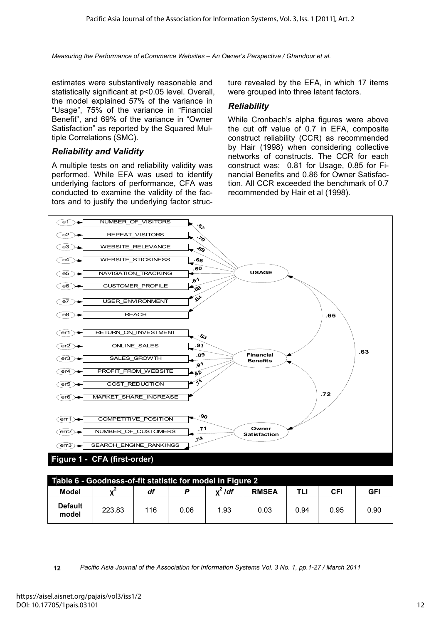estimates were substantively reasonable and statistically significant at p<0.05 level. Overall, the model explained 57% of the variance in "Usage", 75% of the variance in "Financial Benefit", and 69% of the variance in "Owner Satisfaction" as reported by the Squared Multiple Correlations (SMC).

### *Reliability and Validity*

A multiple tests on and reliability validity was performed. While EFA was used to identify underlying factors of performance, CFA was conducted to examine the validity of the factors and to justify the underlying factor structure revealed by the EFA, in which 17 items were grouped into three latent factors.

### *Reliability*

While Cronbach's alpha figures were above the cut off value of 0.7 in EFA, composite construct reliability (CCR) as recommended by Hair (1998) when considering collective networks of constructs. The CCR for each construct was: 0.81 for Usage, 0.85 for Financial Benefits and 0.86 for Owner Satisfaction. All CCR exceeded the benchmark of 0.7 recommended by Hair et al (1998).



| Table 6 - Goodness-of-fit statistic for model in Figure 2 |        |     |      |           |              |      |            |            |
|-----------------------------------------------------------|--------|-----|------|-----------|--------------|------|------------|------------|
| Model                                                     |        | df  |      | $x^2$ /df | <b>RMSEA</b> | TLI  | <b>CFI</b> | <b>GFI</b> |
| <b>Default</b><br>model                                   | 223.83 | 116 | 0.06 | 1.93      | 0.03         | 0.94 | 0.95       | 0.90       |

**<sup>12</sup>** *Pacific Asia Journal of the Association for Information Systems Vol. 3 No. 1, pp.1-27 / March 2011*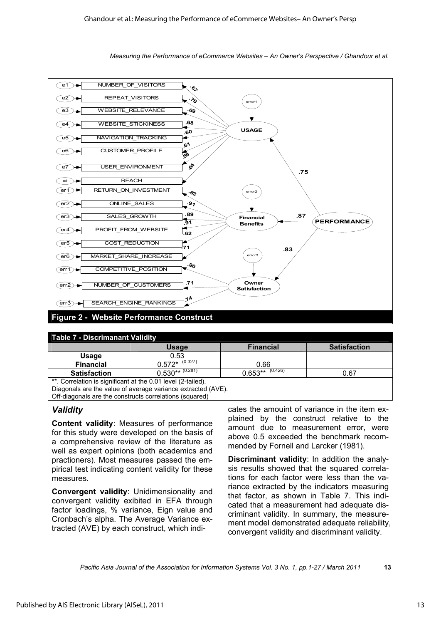



| <b>Table 7 - Discrimanant Validity</b>                       |                                     |                    |                     |  |  |  |
|--------------------------------------------------------------|-------------------------------------|--------------------|---------------------|--|--|--|
|                                                              | <b>Usage</b>                        | <b>Financial</b>   | <b>Satisfaction</b> |  |  |  |
| Usage                                                        | 0.53                                |                    |                     |  |  |  |
| <b>Financial</b>                                             | $0.572^{\frac{1}{*} \cdot (0.327)}$ | 0.66               |                     |  |  |  |
| <b>Satisfaction</b>                                          | $0.530***$ (0.281)                  | $0.653***$ (0.426) | 0.67                |  |  |  |
| **. Correlation is significant at the 0.01 level (2-tailed). |                                     |                    |                     |  |  |  |
| Diagonals are the value of average variance extracted (AVE). |                                     |                    |                     |  |  |  |
| Off-diagonals are the constructs correlations (squared)      |                                     |                    |                     |  |  |  |

## *Validity*

**Content validity**: Measures of performance for this study were developed on the basis of a comprehensive review of the literature as well as expert opinions (both academics and practioners). Most measures passed the empirical test indicating content validity for these measures.

**Convergent validity**: Unidimensionality and convergent validity exibited in EFA through factor loadings, % variance, Eign value and Cronbach's alpha. The Average Variance extracted (AVE) by each construct, which indicates the amouint of variance in the item explained by the construct relative to the amount due to measurement error, were above 0.5 exceeded the benchmark recommended by Fornell and Larcker (1981).

**Discriminant validity**: In addition the analysis results showed that the squared correlations for each factor were less than the variance extracted by the indicators measuring that factor, as shown in Table 7. This indicated that a measurement had adequate discriminant validity. In summary, the measurement model demonstrated adequate reliability, convergent validity and discriminant validity.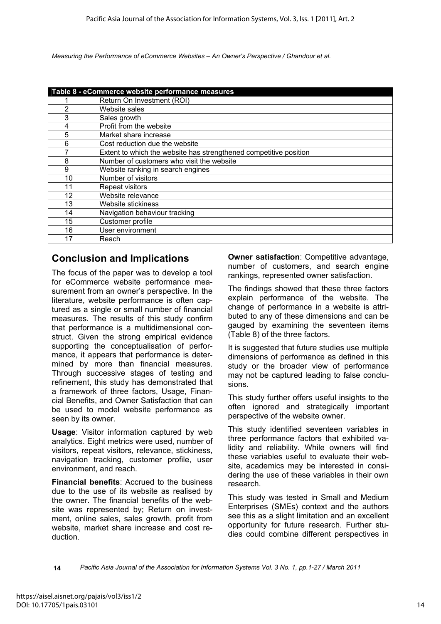|    | Table 8 - eCommerce website performance measures                  |
|----|-------------------------------------------------------------------|
|    | Return On Investment (ROI)                                        |
| 2  | Website sales                                                     |
| 3  | Sales growth                                                      |
| 4  | Profit from the website                                           |
| 5  | Market share increase                                             |
| 6  | Cost reduction due the website                                    |
|    | Extent to which the website has strengthened competitive position |
| 8  | Number of customers who visit the website                         |
| 9  | Website ranking in search engines                                 |
| 10 | Number of visitors                                                |
| 11 | Repeat visitors                                                   |
| 12 | Website relevance                                                 |
| 13 | Website stickiness                                                |
| 14 | Navigation behaviour tracking                                     |
| 15 | Customer profile                                                  |
| 16 | User environment                                                  |
| 17 | Reach                                                             |

## **Conclusion and Implications**

The focus of the paper was to develop a tool for eCommerce website performance measurement from an owner's perspective. In the literature, website performance is often captured as a single or small number of financial measures. The results of this study confirm that performance is a multidimensional construct. Given the strong empirical evidence supporting the conceptualisation of performance, it appears that performance is determined by more than financial measures. Through successive stages of testing and refinement, this study has demonstrated that a framework of three factors, Usage, Financial Benefits, and Owner Satisfaction that can be used to model website performance as seen by its owner.

**Usage**: Visitor information captured by web analytics. Eight metrics were used, number of visitors, repeat visitors, relevance, stickiness, navigation tracking, customer profile, user environment, and reach.

**Financial benefits**: Accrued to the business due to the use of its website as realised by the owner. The financial benefits of the website was represented by; Return on investment, online sales, sales growth, profit from website, market share increase and cost reduction.

**Owner satisfaction: Competitive advantage,** number of customers, and search engine rankings, represented owner satisfaction.

The findings showed that these three factors explain performance of the website. The change of performance in a website is attributed to any of these dimensions and can be gauged by examining the seventeen items (Table 8) of the three factors.

It is suggested that future studies use multiple dimensions of performance as defined in this study or the broader view of performance may not be captured leading to false conclusions.

This study further offers useful insights to the often ignored and strategically important perspective of the website owner.

This study identified seventeen variables in three performance factors that exhibited validity and reliability. While owners will find these variables useful to evaluate their website, academics may be interested in considering the use of these variables in their own research.

This study was tested in Small and Medium Enterprises (SMEs) context and the authors see this as a slight limitation and an excellent opportunity for future research. Further studies could combine different perspectives in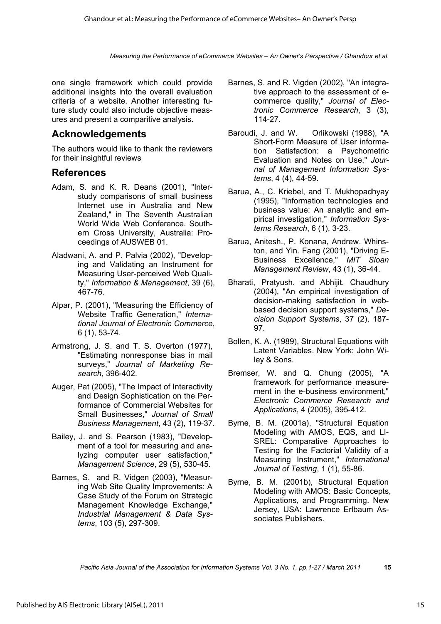one single framework which could provide additional insights into the overall evaluation criteria of a website. Another interesting future study could also include objective measures and present a comparitive analysis.

# **Acknowledgements**

The authors would like to thank the reviewers for their insightful reviews

# **References**

- Adam, S. and K. R. Deans (2001), "Interstudy comparisons of small business Internet use in Australia and New Zealand," in The Seventh Australian World Wide Web Conference. Southern Cross University, Australia: Proceedings of AUSWEB 01.
- Aladwani, A. and P. Palvia (2002), "Developing and Validating an Instrument for Measuring User-perceived Web Quality," *Information & Management*, 39 (6), 467-76.
- Alpar, P. (2001), "Measuring the Efficiency of Website Traffic Generation," *International Journal of Electronic Commerce*, 6 (1), 53-74.
- Armstrong, J. S. and T. S. Overton (1977), "Estimating nonresponse bias in mail surveys," *Journal of Marketing Research*, 396-402.
- Auger, Pat (2005), "The Impact of Interactivity and Design Sophistication on the Performance of Commercial Websites for Small Businesses," *Journal of Small Business Management*, 43 (2), 119-37.
- Bailey, J. and S. Pearson (1983), "Development of a tool for measuring and analyzing computer user satisfaction," *Management Science*, 29 (5), 530-45.
- Barnes, S. and R. Vidgen (2003), "Measuring Web Site Quality Improvements: A Case Study of the Forum on Strategic Management Knowledge Exchange," *Industrial Management & Data Systems*, 103 (5), 297-309.
- Barnes, S. and R. Vigden (2002), "An integrative approach to the assessment of ecommerce quality," *Journal of Electronic Commerce Research*, 3 (3), 114-27.
- Baroudi, J. and W. Orlikowski (1988), "A Short-Form Measure of User information Satisfaction: a Psychometric Evaluation and Notes on Use," *Journal of Management Information Systems*, 4 (4), 44-59.
- Barua, A., C. Kriebel, and T. Mukhopadhyay (1995), "Information technologies and business value: An analytic and empirical investigation," *Information Systems Research*, 6 (1), 3-23.
- Barua, Anitesh., P. Konana, Andrew. Whinston, and Yin. Fang (2001), "Driving E-Business Excellence," *MIT Sloan Management Review*, 43 (1), 36-44.
- Bharati, Pratyush. and Abhijit. Chaudhury (2004), "An empirical investigation of decision-making satisfaction in webbased decision support systems," *Decision Support Systems*, 37 (2), 187- 97.
- Bollen, K. A. (1989), Structural Equations with Latent Variables. New York: John Wiley & Sons.
- Bremser, W. and Q. Chung (2005), "A framework for performance measurement in the e-business environment," *Electronic Commerce Research and Applications*, 4 (2005), 395-412.
- Byrne, B. M. (2001a), "Structural Equation Modeling with AMOS, EQS, and LI-SREL: Comparative Approaches to Testing for the Factorial Validity of a Measuring Instrument," *International Journal of Testing*, 1 (1), 55-86.
- Byrne, B. M. (2001b), Structural Equation Modeling with AMOS: Basic Concepts, Applications, and Programming. New Jersey, USA: Lawrence Erlbaum Associates Publishers.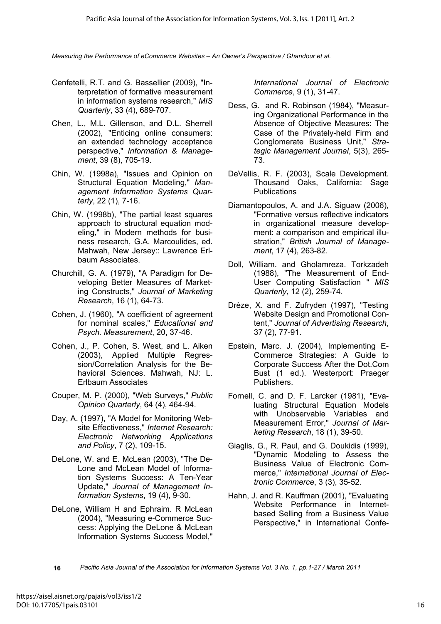- Cenfetelli, R.T. and G. Bassellier (2009), "Interpretation of formative measurement in information systems research," *MIS Quarterly*, 33 (4), 689-707.
- Chen, L., M.L. Gillenson, and D.L. Sherrell (2002), "Enticing online consumers: an extended technology acceptance perspective," *Information & Management*, 39 (8), 705-19.
- Chin, W. (1998a), "Issues and Opinion on Structural Equation Modeling," *Management Information Systems Quarterly*, 22 (1), 7-16.
- Chin, W. (1998b), "The partial least squares approach to structural equation modeling," in Modern methods for business research, G.A. Marcoulides, ed. Mahwah, New Jersey:: Lawrence Erlbaum Associates.
- Churchill, G. A. (1979), "A Paradigm for Developing Better Measures of Marketing Constructs," *Journal of Marketing Research*, 16 (1), 64-73.
- Cohen, J. (1960), "A coefficient of agreement for nominal scales," *Educational and Psych. Measurement*, 20, 37-46.
- Cohen, J., P. Cohen, S. West, and L. Aiken (2003), Applied Multiple Regression/Correlation Analysis for the Behavioral Sciences. Mahwah, NJ: L. Erlbaum Associates
- Couper, M. P. (2000), "Web Surveys," *Public Opinion Quarterly*, 64 (4), 464-94.
- Day, A. (1997), "A Model for Monitoring Website Effectiveness," *Internet Research: Electronic Networking Applications and Policy*, 7 (2), 109-15.
- DeLone, W. and E. McLean (2003), "The De-Lone and McLean Model of Information Systems Success: A Ten-Year Update," *Journal of Management Information Systems*, 19 (4), 9-30.
- DeLone, William H and Ephraim. R McLean (2004), "Measuring e-Commerce Success: Applying the DeLone & McLean Information Systems Success Model,"

*International Journal of Electronic Commerce*, 9 (1), 31-47.

- Dess, G. and R. Robinson (1984), "Measuring Organizational Performance in the Absence of Objective Measures: The Case of the Privately-held Firm and Conglomerate Business Unit," *Strategic Management Journal*, 5(3), 265- 73.
- DeVellis, R. F. (2003), Scale Development. Thousand Oaks, California: Sage Publications
- Diamantopoulos, A. and J.A. Siguaw (2006), "Formative versus reflective indicators in organizational measure development: a comparison and empirical illustration," *British Journal of Management*, 17 (4), 263-82.
- Doll, William. and Gholamreza. Torkzadeh (1988), "The Measurement of End-User Computing Satisfaction " *MIS Quarterly*, 12 (2), 259-74.
- Drèze, X. and F. Zufryden (1997), "Testing Website Design and Promotional Content," *Journal of Advertising Research*, 37 (2), 77-91.
- Epstein, Marc. J. (2004), Implementing E-Commerce Strategies: A Guide to Corporate Success After the Dot.Com Bust (1 ed.). Westerport: Praeger Publishers.
- Fornell, C. and D. F. Larcker (1981), "Evaluating Structural Equation Models with Unobservable Variables and Measurement Error," *Journal of Marketing Research*, 18 (1), 39-50.
- Giaglis, G., R. Paul, and G. Doukidis (1999), "Dynamic Modeling to Assess the Business Value of Electronic Commerce," *International Journal of Electronic Commerce*, 3 (3), 35-52.
- Hahn, J. and R. Kauffman (2001), "Evaluating Website Performance in Internetbased Selling from a Business Value Perspective," in International Confe-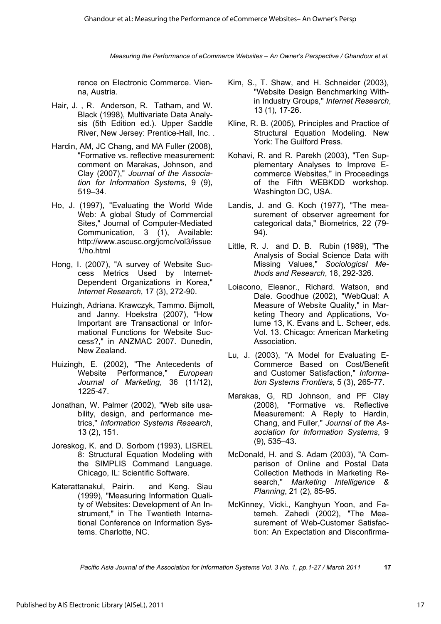rence on Electronic Commerce. Vienna, Austria.

- Hair, J. , R. Anderson, R. Tatham, and W. Black (1998), Multivariate Data Analysis (5th Edition ed.). Upper Saddle River, New Jersey: Prentice-Hall, Inc. .
- Hardin, AM, JC Chang, and MA Fuller (2008), "Formative vs. reflective measurement: comment on Marakas, Johnson, and Clay (2007)," *Journal of the Association for Information Systems*, 9 (9), 519–34.
- Ho, J. (1997), "Evaluating the World Wide Web: A global Study of Commercial Sites," Journal of Computer-Mediated Communication, 3 (1), Available: http://www.ascusc.org/jcmc/vol3/issue 1/ho.html
- Hong, I. (2007), "A survey of Website Success Metrics Used by Internet-Dependent Organizations in Korea," *Internet Research*, 17 (3), 272-90.
- Huizingh, Adriana. Krawczyk, Tammo. Bijmolt, and Janny. Hoekstra (2007), "How Important are Transactional or Informational Functions for Website Success?," in ANZMAC 2007. Dunedin, New Zealand.
- Huizingh, E. (2002), "The Antecedents of Website Performance," *European Journal of Marketing*, 36 (11/12), 1225-47.
- Jonathan, W. Palmer (2002), "Web site usability, design, and performance metrics," *Information Systems Research*, 13 (2), 151.
- Joreskog, K. and D. Sorbom (1993), LISREL 8: Structural Equation Modeling with the SIMPLIS Command Language. Chicago, IL: Scientific Software.
- Katerattanakul, Pairin. and Keng. Siau (1999), "Measuring Information Quality of Websites: Development of An Instrument," in The Twentieth International Conference on Information Systems. Charlotte, NC.
- Kim, S., T. Shaw, and H. Schneider (2003), "Website Design Benchmarking Within Industry Groups," *Internet Research*, 13 (1), 17-26.
- Kline, R. B. (2005), Principles and Practice of Structural Equation Modeling. New York: The Guilford Press.
- Kohavi, R. and R. Parekh (2003), "Ten Supplementary Analyses to Improve Ecommerce Websites," in Proceedings of the Fifth WEBKDD workshop. Washington DC, USA.
- Landis, J. and G. Koch (1977), "The measurement of observer agreement for categorical data," Biometrics, 22 (79- 94).
- Little, R. J. and D. B. Rubin (1989), "The Analysis of Social Science Data with Missing Values," *Sociological Methods and Research*, 18, 292-326.
- Loiacono, Eleanor., Richard. Watson, and Dale. Goodhue (2002), "WebQual: A Measure of Website Quality," in Marketing Theory and Applications, Volume 13, K. Evans and L. Scheer, eds. Vol. 13. Chicago: American Marketing Association.
- Lu, J. (2003), "A Model for Evaluating E-Commerce Based on Cost/Benefit and Customer Satisfaction," *Information Systems Frontiers*, 5 (3), 265-77.
- Marakas, G, RD Johnson, and PF Clay (2008), "Formative vs. Reflective Measurement: A Reply to Hardin, Chang, and Fuller," *Journal of the Association for Information Systems*, 9 (9), 535–43.
- McDonald, H. and S. Adam (2003), "A Comparison of Online and Postal Data Collection Methods in Marketing Research," *Marketing Intelligence & Planning*, 21 (2), 85-95.
- McKinney, Vicki., Kanghyun Yoon, and Fatemeh. Zahedi (2002), "The Measurement of Web-Customer Satisfaction: An Expectation and Disconfirma-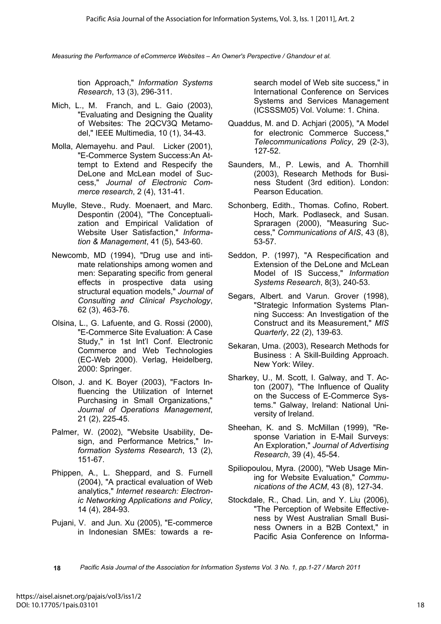tion Approach," *Information Systems Research*, 13 (3), 296-311.

- Mich, L., M. Franch, and L. Gaio (2003), "Evaluating and Designing the Quality of Websites: The 2QCV3Q Metamodel," IEEE Multimedia, 10 (1), 34-43.
- Molla, Alemayehu. and Paul. Licker (2001), "E-Commerce System Success:An Attempt to Extend and Respecify the DeLone and McLean model of Success," *Journal of Electronic Commerce research*, 2 (4), 131-41.
- Muylle, Steve., Rudy. Moenaert, and Marc. Despontin (2004), "The Conceptualization and Empirical Validation of Website User Satisfaction," *Information & Management*, 41 (5), 543-60.
- Newcomb, MD (1994), "Drug use and intimate relationships among women and men: Separating specific from general effects in prospective data using structural equation models," *Journal of Consulting and Clinical Psychology*, 62 (3), 463-76.
- Olsina, L., G. Lafuente, and G. Rossi (2000), "E-Commerce Site Evaluation: A Case Study," in 1st Int'l Conf. Electronic Commerce and Web Technologies (EC-Web 2000). Verlag, Heidelberg, 2000: Springer.
- Olson, J. and K. Boyer (2003), "Factors Influencing the Utilization of Internet Purchasing in Small Organizations," *Journal of Operations Management*, 21 (2), 225-45.
- Palmer, W. (2002), "Website Usability, Design, and Performance Metrics," I*nformation Systems Research*, 13 (2), 151-67.
- Phippen, A., L. Sheppard, and S. Furnell (2004), "A practical evaluation of Web analytics," *Internet research: Electronic Networking Applications and Policy*, 14 (4), 284-93.
- Pujani, V. and Jun. Xu (2005), "E-commerce in Indonesian SMEs: towards a re-

search model of Web site success," in International Conference on Services Systems and Services Management (ICSSSM05) Vol. Volume: 1. China.

- Quaddus, M. and D. Achjari (2005), "A Model for electronic Commerce Success," *Telecommunications Policy*, 29 (2-3), 127-52.
- Saunders, M., P. Lewis, and A. Thornhill (2003), Research Methods for Business Student (3rd edition). London: Pearson Education.
- Schonberg, Edith., Thomas. Cofino, Robert. Hoch, Mark. Podlaseck, and Susan. Spraragen (2000), "Measuring Success," *Communications of AIS*, 43 (8), 53-57.
- Seddon, P. (1997), "A Respecification and Extension of the DeLone and McLean Model of IS Success," *Information Systems Research*, 8(3), 240-53.
- Segars, Albert. and Varun. Grover (1998), "Strategic Information Systems Planning Success: An Investigation of the Construct and its Measurement," *MIS Quarterly*, 22 (2), 139-63.
- Sekaran, Uma. (2003), Research Methods for Business : A Skill-Building Approach. New York: Wiley.
- Sharkey, U., M. Scott, I. Galway, and T. Acton (2007), "The Influence of Quality on the Success of E-Commerce Systems." Galway, Ireland: National University of Ireland.
- Sheehan, K. and S. McMillan (1999), "Response Variation in E-Mail Surveys: An Exploration," *Journal of Advertising Research*, 39 (4), 45-54.
- Spiliopoulou, Myra. (2000), "Web Usage Mining for Website Evaluation," *Communications of the ACM*, 43 (8), 127-34.
- Stockdale, R., Chad. Lin, and Y. Liu (2006), "The Perception of Website Effectiveness by West Australian Small Business Owners in a B2B Context," in Pacific Asia Conference on Informa-
- **18** *Pacific Asia Journal of the Association for Information Systems Vol. 3 No. 1, pp.1-27 / March 2011*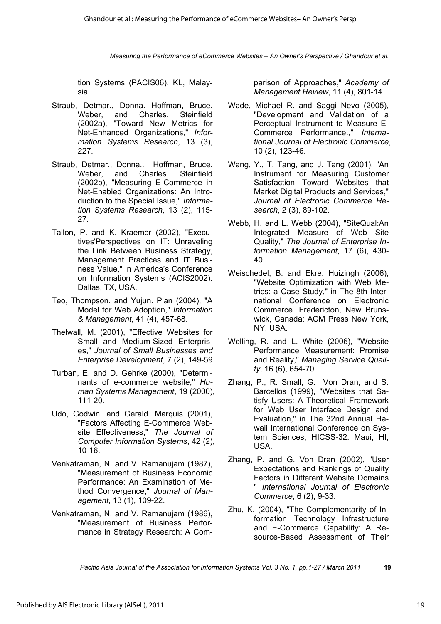tion Systems (PACIS06). KL, Malaysia.

- Straub, Detmar., Donna. Hoffman, Bruce. Weber, and Charles. Steinfield (2002a), "Toward New Metrics for Net-Enhanced Organizations," *Information Systems Research*, 13 (3), 227.
- Straub, Detmar., Donna.. Hoffman, Bruce. Weber, and Charles. Steinfield (2002b), "Measuring E-Commerce in Net-Enabled Organizations: An Introduction to the Special Issue," *Information Systems Research*, 13 (2), 115- 27.
- Tallon, P. and K. Kraemer (2002), "Executives'Perspectives on IT: Unraveling the Link Between Business Strategy, Management Practices and IT Business Value," in America's Conference on Information Systems (ACIS2002). Dallas, TX, USA.
- Teo, Thompson. and Yujun. Pian (2004), "A Model for Web Adoption," *Information & Management*, 41 (4), 457-68.
- Thelwall, M. (2001), "Effective Websites for Small and Medium-Sized Enterprises," *Journal of Small Businesses and Enterprise Development*, 7 (2), 149-59.
- Turban, E. and D. Gehrke (2000), "Determinants of e-commerce website," *Human Systems Management*, 19 (2000), 111-20.
- Udo, Godwin. and Gerald. Marquis (2001), "Factors Affecting E-Commerce Website Effectiveness," *The Journal of Computer Information Systems*, 42 (2), 10-16.
- Venkatraman, N. and V. Ramanujam (1987), "Measurement of Business Economic Performance: An Examination of Method Convergence," *Journal of Management*, 13 (1), 109-22.
- Venkatraman, N. and V. Ramanujam (1986), "Measurement of Business Performance in Strategy Research: A Com-

parison of Approaches," *Academy of Management Review*, 11 (4), 801-14.

- Wade, Michael R. and Saggi Nevo (2005), "Development and Validation of a Perceptual Instrument to Measure E-Commerce Performance.," *International Journal of Electronic Commerce*, 10 (2), 123-46.
- Wang, Y., T. Tang, and J. Tang (2001), "An Instrument for Measuring Customer Satisfaction Toward Websites that Market Digital Products and Services," *Journal of Electronic Commerce Research*, 2 (3), 89-102.
- Webb, H. and L. Webb (2004), "SiteQual:An Integrated Measure of Web Site Quality," *The Journal of Enterprise Information Management*, 17 (6), 430- 40.
- Weischedel, B. and Ekre. Huizingh (2006), "Website Optimization with Web Metrics: a Case Study," in The 8th International Conference on Electronic Commerce. Fredericton, New Brunswick, Canada: ACM Press New York, NY, USA.
- Welling, R. and L. White (2006), "Website Performance Measurement: Promise and Reality," *Managing Service Quality*, 16 (6), 654-70.
- Zhang, P., R. Small, G. Von Dran, and S. Barcellos (1999), "Websites that Satisfy Users: A Theoretical Framework for Web User Interface Design and Evaluation," in The 32nd Annual Hawaii International Conference on System Sciences, HICSS-32. Maui, HI, USA.
- Zhang, P. and G. Von Dran (2002), "User Expectations and Rankings of Quality Factors in Different Website Domains " *International Journal of Electronic Commerce*, 6 (2), 9-33.
- Zhu, K. (2004), "The Complementarity of Information Technology Infrastructure and E-Commerce Capability: A Resource-Based Assessment of Their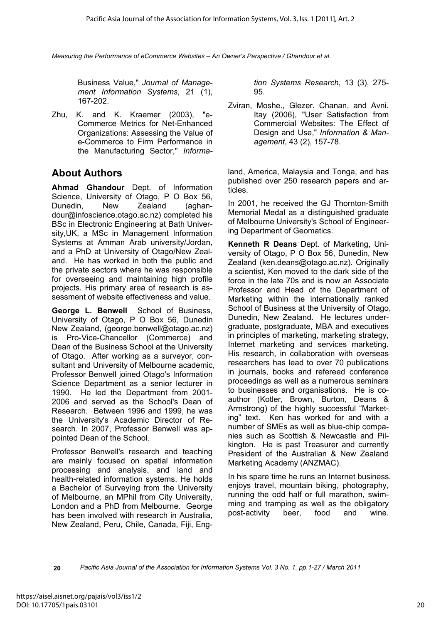Business Value," *Journal of Management Information Systems*, 21 (1), 167-202.

Zhu, K. and K. Kraemer (2003), "e-Commerce Metrics for Net-Enhanced Organizations: Assessing the Value of e-Commerce to Firm Performance in the Manufacturing Sector," *Informa-*

# **About Authors**

**Ahmad Ghandour** Dept. of Information Science, University of Otago, P O Box 56, Dunedin, New Zealand (aghandour@infoscience.otago.ac.nz) completed his BSc in Electronic Engineering at Bath University,UK, a MSc in Management Information Systems at Amman Arab university/Jordan, and a PhD at University of Otago/New Zealand. He has worked in both the public and the private sectors where he was responsible for overseeing and maintaining high profile projects. His primary area of research is assessment of website effectiveness and value.

**George L. Benwell** School of Business, University of Otago, P O Box 56, Dunedin New Zealand, (george.benwell@otago.ac.nz) is Pro-Vice-Chancellor (Commerce) and Dean of the Business School at the University of Otago. After working as a surveyor, consultant and University of Melbourne academic, Professor Benwell joined Otago's Information Science Department as a senior lecturer in 1990. He led the Department from 2001- 2006 and served as the School's Dean of Research. Between 1996 and 1999, he was the University's Academic Director of Research. In 2007, Professor Benwell was appointed Dean of the School.

Professor Benwell's research and teaching are mainly focused on spatial information processing and analysis, and land and health-related information systems. He holds a Bachelor of Surveying from the University of Melbourne, an MPhil from City University, London and a PhD from Melbourne. George has been involved with research in Australia, New Zealand, Peru, Chile, Canada, Fiji, Eng*tion Systems Research*, 13 (3), 275- 95.

Zviran, Moshe., Glezer. Chanan, and Avni. Itay (2006), "User Satisfaction from Commercial Websites: The Effect of Design and Use," *Information & Management*, 43 (2), 157-78.

land, America, Malaysia and Tonga, and has published over 250 research papers and articles.

In 2001, he received the GJ Thornton-Smith Memorial Medal as a distinguished graduate of Melbourne University's School of Engineering Department of Geomatics.

**Kenneth R Deans** Dept. of Marketing, University of Otago, P O Box 56, Dunedin, New Zealand (ken.deans@otago.ac.nz). Originally a scientist, Ken moved to the dark side of the force in the late 70s and is now an Associate Professor and Head of the Department of Marketing within the internationally ranked School of Business at the University of Otago, Dunedin, New Zealand. He lectures undergraduate, postgraduate, MBA and executives in principles of marketing, marketing strategy, Internet marketing and services marketing. His research, in collaboration with overseas researchers has lead to over 70 publications in journals, books and refereed conference proceedings as well as a numerous seminars to businesses and organisations. He is coauthor (Kotler, Brown, Burton, Deans & Armstrong) of the highly successful "Marketing" text. Ken has worked for and with a number of SMEs as well as blue-chip companies such as Scottish & Newcastle and Pilkington. He is past Treasurer and currently President of the Australian & New Zealand Marketing Academy (ANZMAC).

In his spare time he runs an Internet business, enjoys travel, mountain biking, photography, running the odd half or full marathon, swimming and tramping as well as the obligatory post-activity beer, food and wine.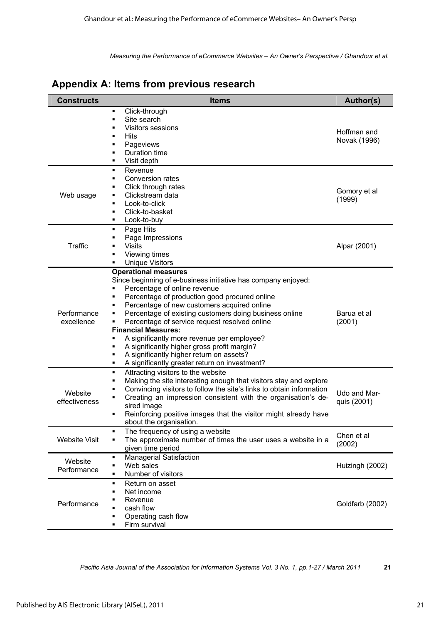| Appendix A: Items from previous research |
|------------------------------------------|
|------------------------------------------|

| <b>Constructs</b>         | <b>Items</b>                                                                                                                                                                                                                                                                                                                                                                                                                                                                                                                                                                                            | Author(s)                   |
|---------------------------|---------------------------------------------------------------------------------------------------------------------------------------------------------------------------------------------------------------------------------------------------------------------------------------------------------------------------------------------------------------------------------------------------------------------------------------------------------------------------------------------------------------------------------------------------------------------------------------------------------|-----------------------------|
|                           | Click-through<br>٠<br>Site search<br>٠<br>Visitors sessions<br>Ξ<br><b>Hits</b><br>٠<br>Pageviews<br>٠<br>Duration time<br>٠<br>Visit depth<br>٠                                                                                                                                                                                                                                                                                                                                                                                                                                                        | Hoffman and<br>Novak (1996) |
| Web usage                 | Revenue<br>٠<br>Conversion rates<br>٠<br>Click through rates<br>٠<br>Clickstream data<br>Look-to-click<br>٠<br>Click-to-basket<br>٠<br>Look-to-buy<br>٠                                                                                                                                                                                                                                                                                                                                                                                                                                                 | Gomory et al<br>(1999)      |
| Traffic                   | Page Hits<br>٠<br>Page Impressions<br><b>Visits</b><br>Viewing times<br>٠<br><b>Unique Visitors</b><br>٠                                                                                                                                                                                                                                                                                                                                                                                                                                                                                                | Alpar (2001)                |
| Performance<br>excellence | <b>Operational measures</b><br>Since beginning of e-business initiative has company enjoyed:<br>Percentage of online revenue<br>٠<br>Percentage of production good procured online<br>٠<br>Percentage of new customers acquired online<br>٠<br>Percentage of existing customers doing business online<br>٠<br>Percentage of service request resolved online<br><b>Financial Measures:</b><br>A significantly more revenue per employee?<br>٠<br>A significantly higher gross profit margin?<br>٠<br>A significantly higher return on assets?<br>٠<br>A significantly greater return on investment?<br>٠ | Barua et al<br>(2001)       |
| Website<br>effectiveness  | Attracting visitors to the website<br>٠<br>Making the site interesting enough that visitors stay and explore<br>٠<br>Convincing visitors to follow the site's links to obtain information<br>٠<br>Creating an impression consistent with the organisation's de-<br>٠<br>sired image<br>Reinforcing positive images that the visitor might already have<br>٠<br>about the organisation.                                                                                                                                                                                                                  | Udo and Mar-<br>quis (2001) |
| <b>Website Visit</b>      | The frequency of using a website<br>٠<br>The approximate number of times the user uses a website in a<br>given time period                                                                                                                                                                                                                                                                                                                                                                                                                                                                              | Chen et al<br>(2002)        |
| Website<br>Performance    | <b>Managerial Satisfaction</b><br>٠<br>Web sales<br>Number of visitors<br>٠                                                                                                                                                                                                                                                                                                                                                                                                                                                                                                                             | Huizingh (2002)             |
| Performance               | Return on asset<br>٠<br>Net income<br>Revenue<br>cash flow<br>Operating cash flow<br>Firm survival                                                                                                                                                                                                                                                                                                                                                                                                                                                                                                      | Goldfarb (2002)             |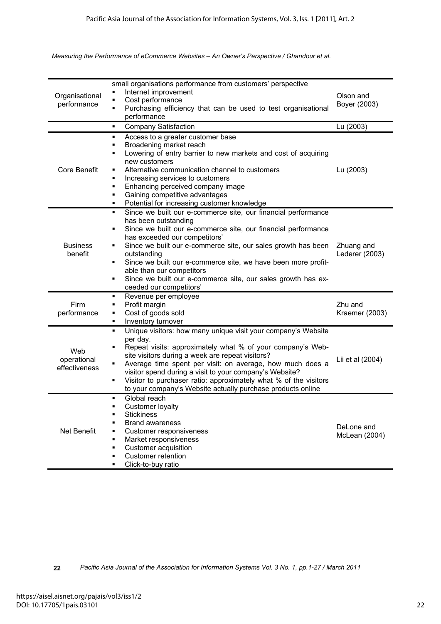| Organisational<br>performance       | small organisations performance from customers' perspective<br>Internet improvement<br>Cost performance<br>٠<br>Purchasing efficiency that can be used to test organisational<br>٠<br>performance                                                                                                                                                                                                                                                                                         | Olson and<br>Boyer (2003)    |
|-------------------------------------|-------------------------------------------------------------------------------------------------------------------------------------------------------------------------------------------------------------------------------------------------------------------------------------------------------------------------------------------------------------------------------------------------------------------------------------------------------------------------------------------|------------------------------|
|                                     | <b>Company Satisfaction</b><br>٠                                                                                                                                                                                                                                                                                                                                                                                                                                                          | Lu (2003)                    |
| <b>Core Benefit</b>                 | Access to a greater customer base<br>٠<br>Broadening market reach<br>٠<br>Lowering of entry barrier to new markets and cost of acquiring<br>٠<br>new customers<br>Alternative communication channel to customers<br>٠<br>Increasing services to customers<br>٠<br>Enhancing perceived company image<br>٠<br>Gaining competitive advantages<br>٠<br>Potential for increasing customer knowledge<br>٠                                                                                       | Lu (2003)                    |
| <b>Business</b><br>benefit          | Since we built our e-commerce site, our financial performance<br>٠<br>has been outstanding<br>Since we built our e-commerce site, our financial performance<br>٠<br>has exceeded our competitors'<br>Since we built our e-commerce site, our sales growth has been<br>٠<br>outstanding<br>Since we built our e-commerce site, we have been more profit-<br>٠<br>able than our competitors<br>Since we built our e-commerce site, our sales growth has ex-<br>٠<br>ceeded our competitors' | Zhuang and<br>Lederer (2003) |
| Firm<br>performance                 | Revenue per employee<br>٠<br>Profit margin<br>٠<br>Cost of goods sold<br>٠<br>Inventory turnover<br>٠                                                                                                                                                                                                                                                                                                                                                                                     | Zhu and<br>Kraemer (2003)    |
| Web<br>operational<br>effectiveness | Unique visitors: how many unique visit your company's Website<br>٠<br>per day.<br>Repeat visits: approximately what % of your company's Web-<br>٠<br>site visitors during a week are repeat visitors?<br>Average time spent per visit: on average, how much does a<br>٠<br>visitor spend during a visit to your company's Website?<br>Visitor to purchaser ratio: approximately what % of the visitors<br>٠<br>to your company's Website actually purchase products online                | Lii et al (2004)             |
| <b>Net Benefit</b>                  | Global reach<br>٠<br>Customer loyalty<br>٠<br><b>Stickiness</b><br>٠<br><b>Brand awareness</b><br>٠<br>Customer responsiveness<br>٠<br>Market responsiveness<br>٠<br><b>Customer acquisition</b><br>٠<br><b>Customer retention</b><br>٠<br>Click-to-buy ratio<br>٠                                                                                                                                                                                                                        | DeLone and<br>McLean (2004)  |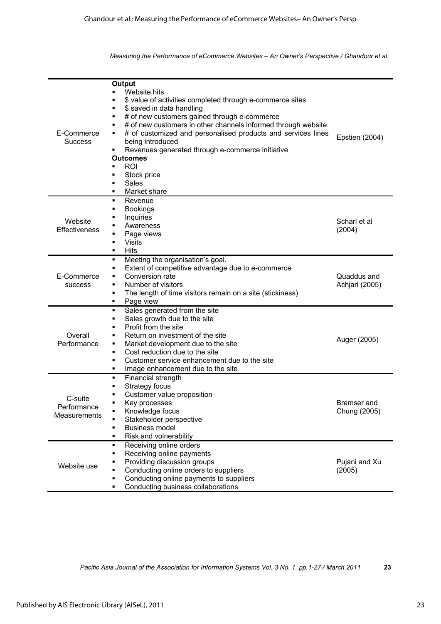| E-Commerce<br><b>Success</b>           | <b>Output</b><br>Website hits<br>\$ value of activities completed through e-commerce sites<br>\$ saved in data handling<br>٠<br># of new customers gained through e-commerce<br>٠<br># of new customers in other channels informed through website<br>٠<br># of customized and personalised products and services lines<br>٠<br>being introduced<br>Revenues generated through e-commerce initiative<br>٠<br><b>Outcomes</b><br><b>ROI</b><br>Stock price<br>п<br>Sales<br>٠<br>Market share<br>٠ | Epstien (2004)                |
|----------------------------------------|---------------------------------------------------------------------------------------------------------------------------------------------------------------------------------------------------------------------------------------------------------------------------------------------------------------------------------------------------------------------------------------------------------------------------------------------------------------------------------------------------|-------------------------------|
| Website<br>Effectiveness               | Revenue<br>٠<br><b>Bookings</b><br>٠<br>Inquiries<br>٠<br>Awareness<br>Page views<br>٠<br><b>Visits</b><br>٠<br><b>Hits</b><br>٠                                                                                                                                                                                                                                                                                                                                                                  | Scharl et al<br>(2004)        |
| E-Commerce<br>success                  | Meeting the organisation's goal.<br>٠<br>Extent of competitive advantage due to e-commerce<br>٠<br>Conversion rate<br>Number of visitors<br>٠<br>The length of time visitors remain on a site (stickiness)<br>٠<br>Page view<br>٠                                                                                                                                                                                                                                                                 | Quaddus and<br>Achjari (2005) |
| Overall<br>Performance                 | Sales generated from the site<br>٠<br>Sales growth due to the site<br>٠<br>Profit from the site<br>٠<br>Return on investment of the site<br>٠<br>Market development due to the site<br>٠<br>Cost reduction due to the site<br>٠<br>Customer service enhancement due to the site<br>٠<br>Image enhancement due to the site<br>٠                                                                                                                                                                    | Auger (2005)                  |
| C-suite<br>Performance<br>Measurements | Financial strength<br>٠<br>Strategy focus<br>٠<br>Customer value proposition<br>٠<br>Key processes<br>٠<br>Knowledge focus<br>Stakeholder perspective<br><b>Business model</b><br>٠<br>Risk and volnerability<br>٠                                                                                                                                                                                                                                                                                | Bremser and<br>Chung (2005)   |
| Website use                            | Receiving online orders<br>٠<br>Receiving online payments<br>٠<br>Providing discussion groups<br>٠<br>Conducting online orders to suppliers<br>٠<br>Conducting online payments to suppliers<br>٠<br>Conducting business collaborations<br>٠                                                                                                                                                                                                                                                       | Pujani and Xu<br>(2005)       |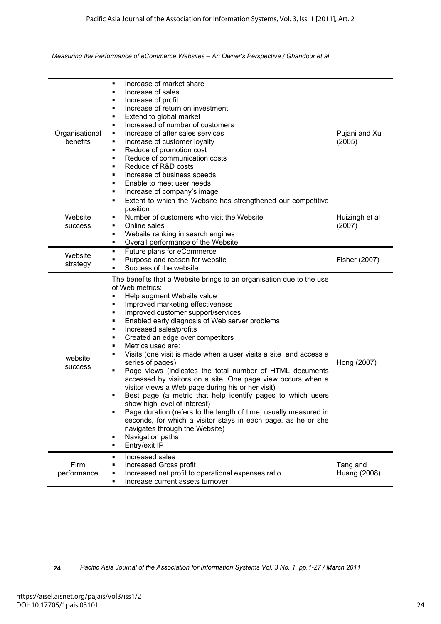| Organisational<br>benefits | Increase of market share<br>٠<br>Increase of sales<br>٠<br>Increase of profit<br>٠<br>Increase of return on investment<br>٠<br>Extend to global market<br>٠<br>Increased of number of customers<br>٠<br>Increase of after sales services<br>٠<br>Increase of customer loyalty<br>٠<br>Reduce of promotion cost<br>٠<br>Reduce of communication costs<br>٠<br>Reduce of R&D costs<br>٠<br>Increase of business speeds<br>٠<br>Enable to meet user needs<br>٠<br>Increase of company's image<br>٠                                                                                                                                                                                                                                                                                                                                                                                                                                                                                 | Pujani and Xu<br>(2005)  |
|----------------------------|---------------------------------------------------------------------------------------------------------------------------------------------------------------------------------------------------------------------------------------------------------------------------------------------------------------------------------------------------------------------------------------------------------------------------------------------------------------------------------------------------------------------------------------------------------------------------------------------------------------------------------------------------------------------------------------------------------------------------------------------------------------------------------------------------------------------------------------------------------------------------------------------------------------------------------------------------------------------------------|--------------------------|
| Website<br>success         | Extent to which the Website has strengthened our competitive<br>٠<br>position<br>Number of customers who visit the Website<br>Online sales<br>٠<br>Website ranking in search engines<br>٠<br>Overall performance of the Website<br>٠                                                                                                                                                                                                                                                                                                                                                                                                                                                                                                                                                                                                                                                                                                                                            | Huizingh et al<br>(2007) |
| Website<br>strategy        | Future plans for eCommerce<br>٠<br>Purpose and reason for website<br>٠<br>Success of the website<br>٠                                                                                                                                                                                                                                                                                                                                                                                                                                                                                                                                                                                                                                                                                                                                                                                                                                                                           | Fisher (2007)            |
| website<br><b>SUCCESS</b>  | The benefits that a Website brings to an organisation due to the use<br>of Web metrics:<br>Help augment Website value<br>٠<br>Improved marketing effectiveness<br>٠<br>Improved customer support/services<br>٠<br>Enabled early diagnosis of Web server problems<br>٠<br>Increased sales/profits<br>٠<br>Created an edge over competitors<br>٠<br>Metrics used are:<br>٠<br>Visits (one visit is made when a user visits a site and access a<br>٠<br>series of pages)<br>Page views (indicates the total number of HTML documents<br>٠<br>accessed by visitors on a site. One page view occurs when a<br>visitor views a Web page during his or her visit)<br>Best page (a metric that help identify pages to which users<br>show high level of interest)<br>Page duration (refers to the length of time, usually measured in<br>seconds, for which a visitor stays in each page, as he or she<br>navigates through the Website)<br>Navigation paths<br>٠<br>Entry/exit IP<br>٠ | Hong (2007)              |
| Firm<br>performance        | Increased sales<br>٠<br>Increased Gross profit<br>Increased net profit to operational expenses ratio<br>Increase current assets turnover<br>٠                                                                                                                                                                                                                                                                                                                                                                                                                                                                                                                                                                                                                                                                                                                                                                                                                                   | Tang and<br>Huang (2008) |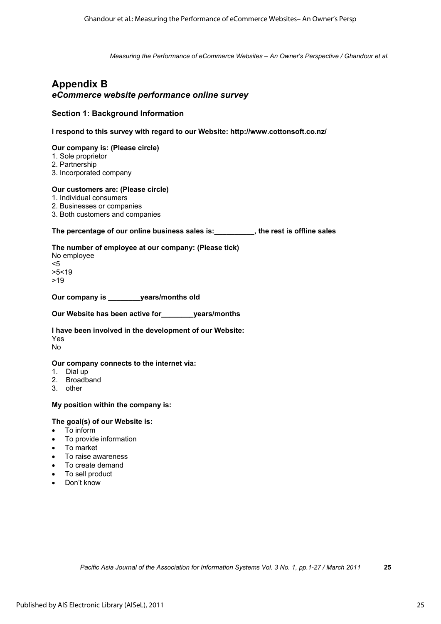## **Appendix B**  *eCommerce website performance online survey*

### **Section 1: Background Information**

**I respond to this survey with regard to our Website: http://www.cottonsoft.co.nz/**

#### **Our company is: (Please circle)**

- 1. Sole proprietor
- 2. Partnership
- 3. Incorporated company

#### **Our customers are: (Please circle)**

- 1. Individual consumers
- 2. Businesses or companies
- 3. Both customers and companies

### **The percentage of our online business sales is:\_\_\_\_\_\_\_\_\_\_, the rest is offline sales**

#### **The number of employee at our company: (Please tick)**

No employee <5 >5<19 >19

**Our company is \_\_\_\_\_\_\_\_years/months old** 

**Our Website has been active for\_\_\_\_\_\_\_\_years/months** 

**I have been involved in the development of our Website:**  Yes No

#### **Our company connects to the internet via:**

- 1. Dial up
- 2. Broadband
- 3. other

#### **My position within the company is:**

#### **The goal(s) of our Website is:**

- To inform
- To provide information
- To market
- To raise awareness
- To create demand
- To sell product
- Don't know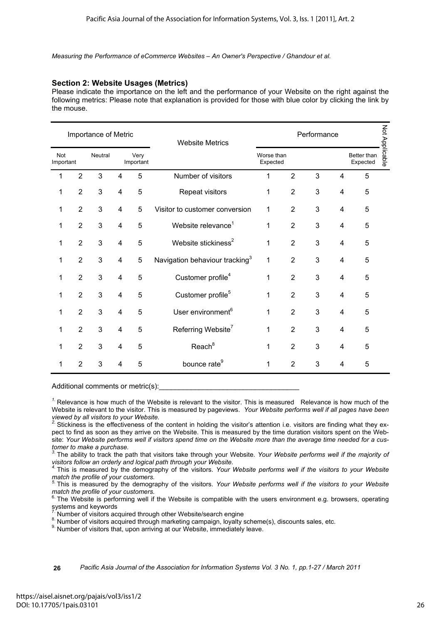### **Section 2: Website Usages (Metrics)**

Please indicate the importance on the left and the performance of your Website on the right against the following metrics: Please note that explanation is provided for those with blue color by clicking the link by the mouse.

| Importance of Metric |                                                  |   |                         |                                           | <b>Website Metrics</b>                     | Performance |                |   |                         |   |  |  |
|----------------------|--------------------------------------------------|---|-------------------------|-------------------------------------------|--------------------------------------------|-------------|----------------|---|-------------------------|---|--|--|
| Not                  | <b>Neutral</b><br>Very<br>Important<br>Important |   |                         | Not Applicable<br>Better than<br>Expected |                                            |             |                |   |                         |   |  |  |
| 1                    | $\overline{2}$                                   | 3 | 4                       | 5                                         | Number of visitors                         | 1           | $\overline{2}$ | 3 | 4                       | 5 |  |  |
| 1                    | $\overline{2}$                                   | 3 | $\overline{\mathbf{4}}$ | 5                                         | Repeat visitors                            | 1           | $\overline{2}$ | 3 | 4                       | 5 |  |  |
| 1                    | $\overline{2}$                                   | 3 | $\overline{\mathbf{4}}$ | 5                                         | Visitor to customer conversion             | 1           | $\overline{2}$ | 3 | 4                       | 5 |  |  |
| 1                    | $\overline{2}$                                   | 3 | $\overline{\mathbf{4}}$ | 5                                         | Website relevance <sup>1</sup>             | 1           | $\overline{2}$ | 3 | 4                       | 5 |  |  |
| 1                    | $\overline{2}$                                   | 3 | 4                       | 5                                         | Website stickiness <sup>2</sup>            | 1           | $\overline{2}$ | 3 | 4                       | 5 |  |  |
| 1                    | $\overline{2}$                                   | 3 | 4                       | 5                                         | Navigation behaviour tracking <sup>3</sup> | 1           | $\overline{2}$ | 3 | 4                       | 5 |  |  |
| 1                    | $\overline{2}$                                   | 3 | $\overline{4}$          | 5                                         | Customer profile <sup>4</sup>              | 1           | $\overline{2}$ | 3 | 4                       | 5 |  |  |
| 1                    | $\overline{2}$                                   | 3 | $\overline{\mathbf{4}}$ | 5                                         | Customer profile <sup>5</sup>              | 1           | $\overline{2}$ | 3 | $\overline{\mathbf{4}}$ | 5 |  |  |
| 1                    | $\overline{2}$                                   | 3 | $\overline{4}$          | 5                                         | User environment <sup>6</sup>              | 1           | $\overline{2}$ | 3 | 4                       | 5 |  |  |
| 1                    | $\overline{2}$                                   | 3 | 4                       | 5                                         | Referring Website <sup>7</sup>             | 1           | $\overline{2}$ | 3 | 4                       | 5 |  |  |
| 1                    | $\overline{2}$                                   | 3 | $\overline{4}$          | 5                                         | Reach <sup>8</sup>                         | 1           | $\overline{2}$ | 3 | 4                       | 5 |  |  |
| 1                    | $\overline{2}$                                   | 3 | $\overline{4}$          | 5                                         | bounce rate <sup>9</sup>                   | 1           | 2              | 3 | 4                       | 5 |  |  |

Additional comments or metric(s):

<sup>1.</sup> Relevance is how much of the Website is relevant to the visitor. This is measured Relevance is how much of the Website is relevant to the visitor. This is measured by pageviews. *Your Website performs well if all pages have been viewed by all visitors to your Website.* 

<sup>2</sup>. Stickiness is the effectiveness of the content in holding the visitor's attention i.e. visitors are finding what they expect to find as soon as they arrive on the Website. This is measured by the time duration visitors spent on the Website: *Your Website performs well if visitors spend time on the Website more than the average time needed for a customer to make a purchase.* 

*3.* The ability to track the path that visitors take through your Website. *Your Website performs well if the majority of visitors follow an orderly and logical path through your Website.* 

*4.* This is measured by the demography of the visitors. *Your Website performs well if the visitors to your Website match the profile of your customers.* 

*5.* This is measured by the demography of the visitors. *Your Website performs well if the visitors to your Website match the profile of your customers.* 

 $6.$  The Website is performing well if the Website is compatible with the users environment e.g. browsers, operating systems and keywords

Number of visitors acquired through other Website/search engine

8. Number of visitors acquired through marketing campaign, loyalty scheme(s), discounts sales, etc. 9. Number of visitors that, upon arriving at our Website, immediately leave.